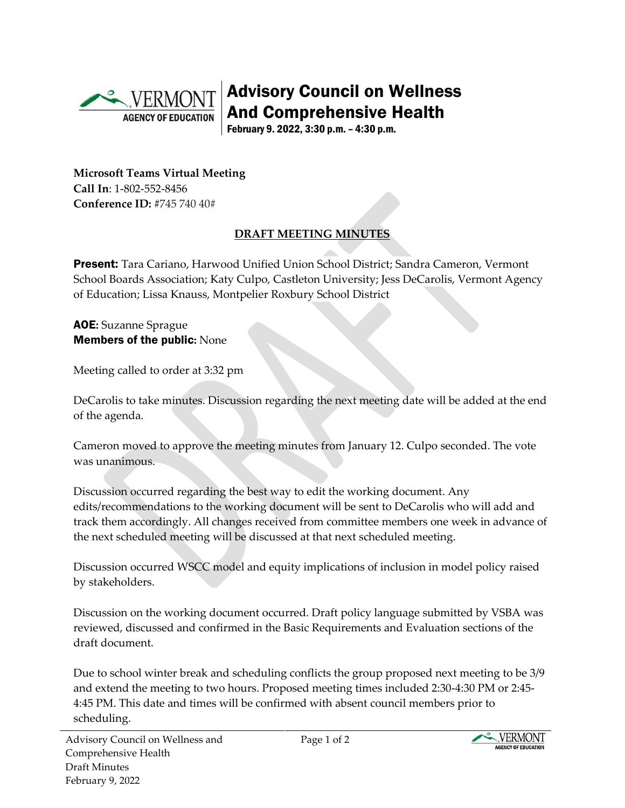

Advisory Council on Wellness And Comprehensive Health

February 9. 2022, 3:30 p.m. – 4:30 p.m.

**Microsoft Teams Virtual Meeting Call In**: 1-802-552-8456 **Conference ID:** #745 740 40#

## **DRAFT MEETING MINUTES**

Present: Tara Cariano, Harwood Unified Union School District; Sandra Cameron, Vermont School Boards Association; Katy Culpo, Castleton University; Jess DeCarolis, Vermont Agency of Education; Lissa Knauss, Montpelier Roxbury School District

## AOE**:** Suzanne Sprague Members of the public**:** None

Meeting called to order at 3:32 pm

DeCarolis to take minutes. Discussion regarding the next meeting date will be added at the end of the agenda.

Cameron moved to approve the meeting minutes from January 12. Culpo seconded. The vote was unanimous.

Discussion occurred regarding the best way to edit the working document. Any edits/recommendations to the working document will be sent to DeCarolis who will add and track them accordingly. All changes received from committee members one week in advance of the next scheduled meeting will be discussed at that next scheduled meeting.

Discussion occurred WSCC model and equity implications of inclusion in model policy raised by stakeholders.

Discussion on the working document occurred. Draft policy language submitted by VSBA was reviewed, discussed and confirmed in the Basic Requirements and Evaluation sections of the draft document.

Due to school winter break and scheduling conflicts the group proposed next meeting to be 3/9 and extend the meeting to two hours. Proposed meeting times included 2:30-4:30 PM or 2:45- 4:45 PM. This date and times will be confirmed with absent council members prior to scheduling.